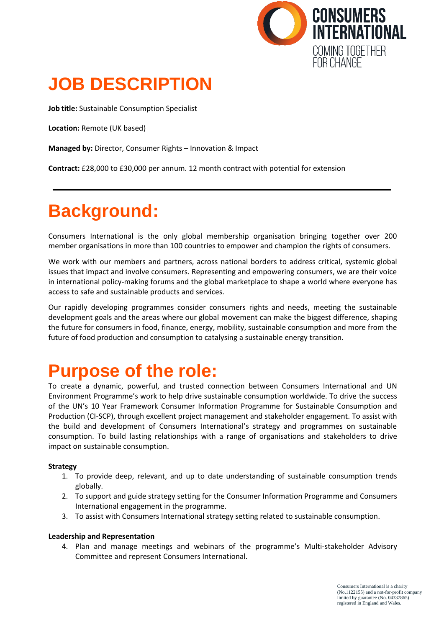

## **JOB DESCRIPTION**

**Job title:** Sustainable Consumption Specialist

**Location:** Remote (UK based)

**Managed by:** Director, Consumer Rights – Innovation & Impact

**Contract:** £28,000 to £30,000 per annum. 12 month contract with potential for extension

## **Background:**

Consumers International is the only global membership organisation bringing together over 200 member organisations in more than 100 countries to empower and champion the rights of consumers.

We work with our members and partners, across national borders to address critical, systemic global issues that impact and involve consumers. Representing and empowering consumers, we are their voice in international policy-making forums and the global marketplace to shape a world where everyone has access to safe and sustainable products and services.

Our rapidly developing programmes consider consumers rights and needs, meeting the sustainable development goals and the areas where our global movement can make the biggest difference, shaping the future for consumers in food, finance, energy, mobility, sustainable consumption and more from the future of food production and consumption to catalysing a sustainable energy transition.

### **Purpose of the role:**

To create a dynamic, powerful, and trusted connection between Consumers International and UN Environment Programme's work to help drive sustainable consumption worldwide. To drive the success of the UN's 10 Year Framework Consumer Information Programme for Sustainable Consumption and Production (CI-SCP), through excellent project management and stakeholder engagement. To assist with the build and development of Consumers International's strategy and programmes on sustainable consumption. To build lasting relationships with a range of organisations and stakeholders to drive impact on sustainable consumption.

### **Strategy**

- 1. To provide deep, relevant, and up to date understanding of sustainable consumption trends globally.
- 2. To support and guide strategy setting for the Consumer Information Programme and Consumers International engagement in the programme.
- 3. To assist with Consumers International strategy setting related to sustainable consumption.

#### **Leadership and Representation**

4. Plan and manage meetings and webinars of the programme's Multi-stakeholder Advisory Committee and represent Consumers International.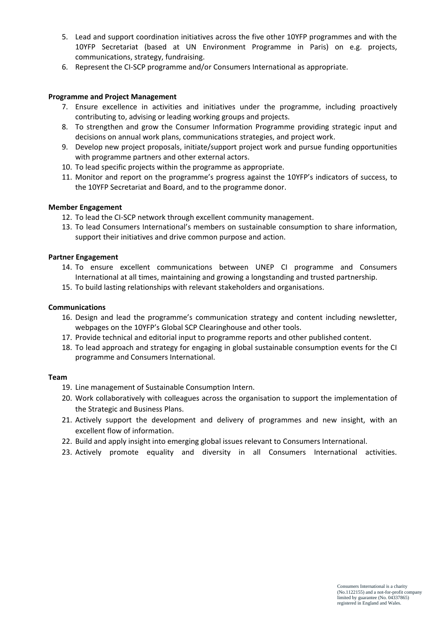- 5. Lead and support coordination initiatives across the five other 10YFP programmes and with the 10YFP Secretariat (based at UN Environment Programme in Paris) on e.g. projects, communications, strategy, fundraising.
- 6. Represent the CI-SCP programme and/or Consumers International as appropriate.

#### **Programme and Project Management**

- 7. Ensure excellence in activities and initiatives under the programme, including proactively contributing to, advising or leading working groups and projects.
- 8. To strengthen and grow the Consumer Information Programme providing strategic input and decisions on annual work plans, communications strategies, and project work.
- 9. Develop new project proposals, initiate/support project work and pursue funding opportunities with programme partners and other external actors.
- 10. To lead specific projects within the programme as appropriate.
- 11. Monitor and report on the programme's progress against the 10YFP's indicators of success, to the 10YFP Secretariat and Board, and to the programme donor.

#### **Member Engagement**

- 12. To lead the CI-SCP network through excellent community management.
- 13. To lead Consumers International's members on sustainable consumption to share information, support their initiatives and drive common purpose and action.

#### **Partner Engagement**

- 14. To ensure excellent communications between UNEP CI programme and Consumers International at all times, maintaining and growing a longstanding and trusted partnership.
- 15. To build lasting relationships with relevant stakeholders and organisations.

#### **Communications**

- 16. Design and lead the programme's communication strategy and content including newsletter, webpages on the 10YFP's Global SCP Clearinghouse and other tools.
- 17. Provide technical and editorial input to programme reports and other published content.
- 18. To lead approach and strategy for engaging in global sustainable consumption events for the CI programme and Consumers International.

#### **Team**

- 19. Line management of Sustainable Consumption Intern.
- 20. Work collaboratively with colleagues across the organisation to support the implementation of the Strategic and Business Plans.
- 21. Actively support the development and delivery of programmes and new insight, with an excellent flow of information.
- 22. Build and apply insight into emerging global issues relevant to Consumers International.
- 23. Actively promote equality and diversity in all Consumers International activities.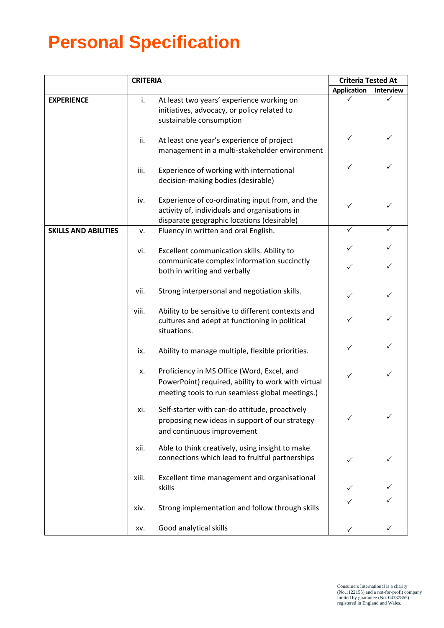# **Personal Specification**

|                             | <b>CRITERIA</b> |                                                                                                                                                     | <b>Criteria Tested At</b> |           |
|-----------------------------|-----------------|-----------------------------------------------------------------------------------------------------------------------------------------------------|---------------------------|-----------|
|                             |                 |                                                                                                                                                     | <b>Application</b>        | Interview |
| <b>EXPERIENCE</b>           | i.              | At least two years' experience working on<br>initiatives, advocacy, or policy related to<br>sustainable consumption                                 |                           |           |
|                             | ii.             | At least one year's experience of project<br>management in a multi-stakeholder environment                                                          | ✓                         | ✓         |
|                             | iii.            | Experience of working with international<br>decision-making bodies (desirable)                                                                      | ✓                         | ✓         |
|                             | iv.             | Experience of co-ordinating input from, and the<br>activity of, individuals and organisations in<br>disparate geographic locations (desirable)      | ✓                         |           |
| <b>SKILLS AND ABILITIES</b> | ٧.              | Fluency in written and oral English.                                                                                                                | ✓                         | ✓         |
|                             | vi.             | Excellent communication skills. Ability to                                                                                                          | ✓                         |           |
|                             |                 | communicate complex information succinctly<br>both in writing and verbally                                                                          | ✓                         |           |
|                             | vii.            | Strong interpersonal and negotiation skills.                                                                                                        | $\checkmark$              |           |
|                             | viii.           | Ability to be sensitive to different contexts and<br>cultures and adept at functioning in political<br>situations.                                  |                           |           |
|                             | ix.             | Ability to manage multiple, flexible priorities.                                                                                                    | $\checkmark$              | ✓         |
|                             | Х.              | Proficiency in MS Office (Word, Excel, and<br>PowerPoint) required, ability to work with virtual<br>meeting tools to run seamless global meetings.) | ✓                         | ✓         |
|                             | xi.             | Self-starter with can-do attitude, proactively<br>proposing new ideas in support of our strategy<br>and continuous improvement                      |                           |           |
|                             | xii.            | Able to think creatively, using insight to make<br>connections which lead to fruitful partnerships                                                  |                           | ✓         |
|                             | xiii.           | Excellent time management and organisational<br>skills                                                                                              |                           |           |
|                             | xiv.            | Strong implementation and follow through skills                                                                                                     |                           |           |
|                             | XV.             | Good analytical skills                                                                                                                              |                           |           |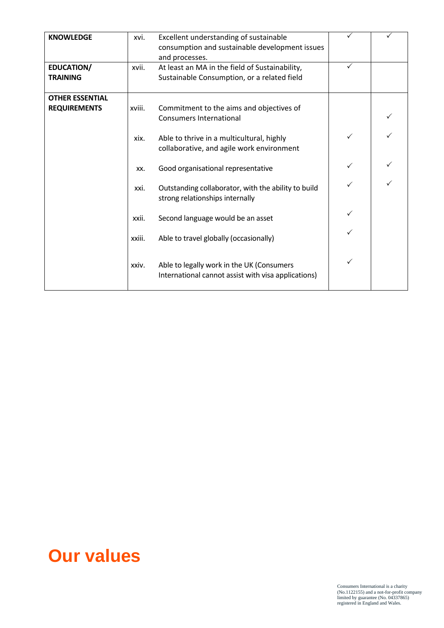| <b>KNOWLEDGE</b>                              | xvi.   | Excellent understanding of sustainable<br>consumption and sustainable development issues<br>and processes. |              |  |
|-----------------------------------------------|--------|------------------------------------------------------------------------------------------------------------|--------------|--|
| <b>EDUCATION/</b><br><b>TRAINING</b>          | xvii.  | At least an MA in the field of Sustainability,<br>Sustainable Consumption, or a related field              | $\checkmark$ |  |
| <b>OTHER ESSENTIAL</b><br><b>REQUIREMENTS</b> | xviii. | Commitment to the aims and objectives of<br><b>Consumers International</b>                                 |              |  |
|                                               | xix.   | Able to thrive in a multicultural, highly<br>collaborative, and agile work environment                     | ✓            |  |
|                                               | XX.    | Good organisational representative                                                                         |              |  |
|                                               | xxi.   | Outstanding collaborator, with the ability to build<br>strong relationships internally                     |              |  |
|                                               | xxii.  | Second language would be an asset                                                                          | ✓            |  |
|                                               | xxiii. | Able to travel globally (occasionally)                                                                     |              |  |
|                                               | xxiv.  | Able to legally work in the UK (Consumers<br>International cannot assist with visa applications)           | ✓            |  |

### **Our values**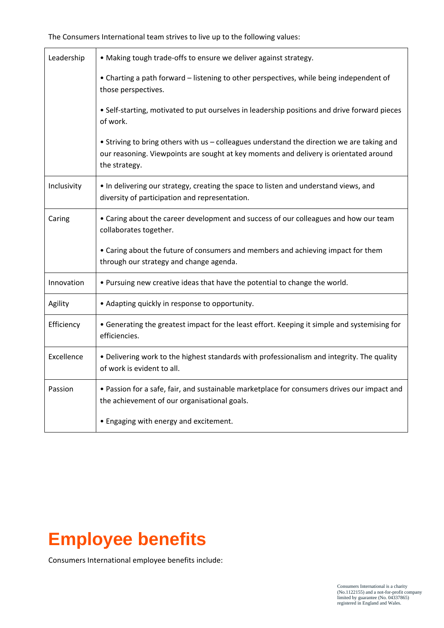The Consumers International team strives to live up to the following values:

| Leadership  | • Making tough trade-offs to ensure we deliver against strategy.                                                                                                                                     |
|-------------|------------------------------------------------------------------------------------------------------------------------------------------------------------------------------------------------------|
|             | • Charting a path forward - listening to other perspectives, while being independent of<br>those perspectives.                                                                                       |
|             | . Self-starting, motivated to put ourselves in leadership positions and drive forward pieces<br>of work.                                                                                             |
|             | • Striving to bring others with us - colleagues understand the direction we are taking and<br>our reasoning. Viewpoints are sought at key moments and delivery is orientated around<br>the strategy. |
| Inclusivity | . In delivering our strategy, creating the space to listen and understand views, and<br>diversity of participation and representation.                                                               |
| Caring      | • Caring about the career development and success of our colleagues and how our team<br>collaborates together.                                                                                       |
|             | • Caring about the future of consumers and members and achieving impact for them<br>through our strategy and change agenda.                                                                          |
| Innovation  | . Pursuing new creative ideas that have the potential to change the world.                                                                                                                           |
| Agility     | • Adapting quickly in response to opportunity.                                                                                                                                                       |
| Efficiency  | • Generating the greatest impact for the least effort. Keeping it simple and systemising for<br>efficiencies.                                                                                        |
| Excellence  | . Delivering work to the highest standards with professionalism and integrity. The quality<br>of work is evident to all.                                                                             |
| Passion     | • Passion for a safe, fair, and sustainable marketplace for consumers drives our impact and<br>the achievement of our organisational goals.                                                          |
|             | • Engaging with energy and excitement.                                                                                                                                                               |

### **Employee benefits**

Consumers International employee benefits include: